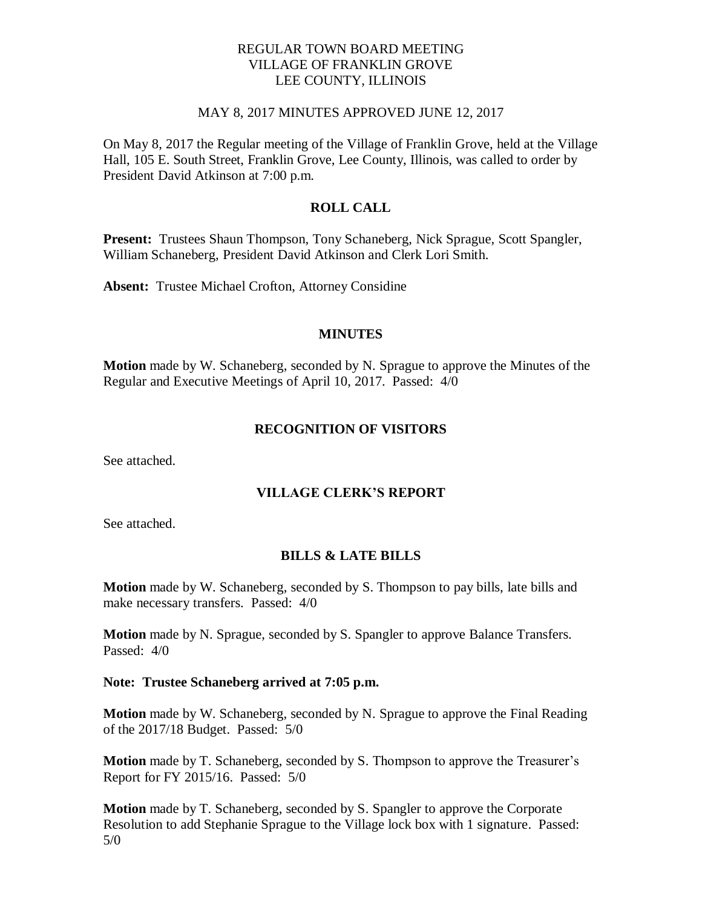## REGULAR TOWN BOARD MEETING VILLAGE OF FRANKLIN GROVE LEE COUNTY, ILLINOIS

#### MAY 8, 2017 MINUTES APPROVED JUNE 12, 2017

On May 8, 2017 the Regular meeting of the Village of Franklin Grove, held at the Village Hall, 105 E. South Street, Franklin Grove, Lee County, Illinois, was called to order by President David Atkinson at 7:00 p.m.

## **ROLL CALL**

**Present:** Trustees Shaun Thompson, Tony Schaneberg, Nick Sprague, Scott Spangler, William Schaneberg, President David Atkinson and Clerk Lori Smith.

**Absent:** Trustee Michael Crofton, Attorney Considine

### **MINUTES**

**Motion** made by W. Schaneberg, seconded by N. Sprague to approve the Minutes of the Regular and Executive Meetings of April 10, 2017. Passed: 4/0

## **RECOGNITION OF VISITORS**

See attached.

## **VILLAGE CLERK'S REPORT**

See attached.

## **BILLS & LATE BILLS**

**Motion** made by W. Schaneberg, seconded by S. Thompson to pay bills, late bills and make necessary transfers. Passed: 4/0

**Motion** made by N. Sprague, seconded by S. Spangler to approve Balance Transfers. Passed: 4/0

#### **Note: Trustee Schaneberg arrived at 7:05 p.m.**

**Motion** made by W. Schaneberg, seconded by N. Sprague to approve the Final Reading of the 2017/18 Budget. Passed: 5/0

**Motion** made by T. Schaneberg, seconded by S. Thompson to approve the Treasurer's Report for FY 2015/16. Passed: 5/0

**Motion** made by T. Schaneberg, seconded by S. Spangler to approve the Corporate Resolution to add Stephanie Sprague to the Village lock box with 1 signature. Passed: 5/0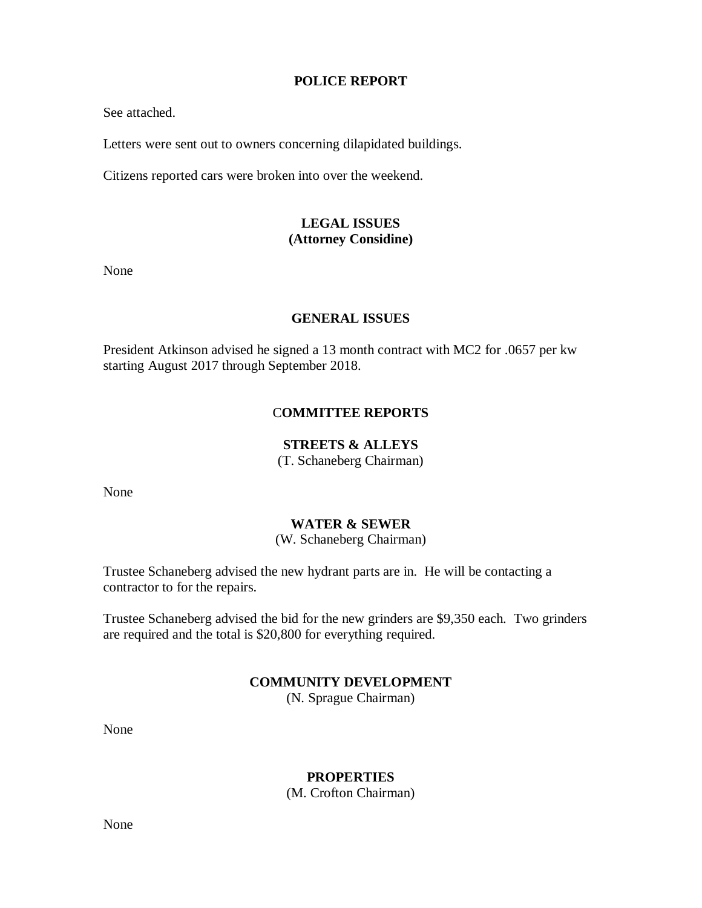### **POLICE REPORT**

See attached.

Letters were sent out to owners concerning dilapidated buildings.

Citizens reported cars were broken into over the weekend.

# **LEGAL ISSUES (Attorney Considine)**

None

## **GENERAL ISSUES**

President Atkinson advised he signed a 13 month contract with MC2 for .0657 per kw starting August 2017 through September 2018.

## C**OMMITTEE REPORTS**

# **STREETS & ALLEYS**

(T. Schaneberg Chairman)

None

## **WATER & SEWER**

(W. Schaneberg Chairman)

Trustee Schaneberg advised the new hydrant parts are in. He will be contacting a contractor to for the repairs.

Trustee Schaneberg advised the bid for the new grinders are \$9,350 each. Two grinders are required and the total is \$20,800 for everything required.

## **COMMUNITY DEVELOPMENT**

(N. Sprague Chairman)

None

**PROPERTIES**

(M. Crofton Chairman)

None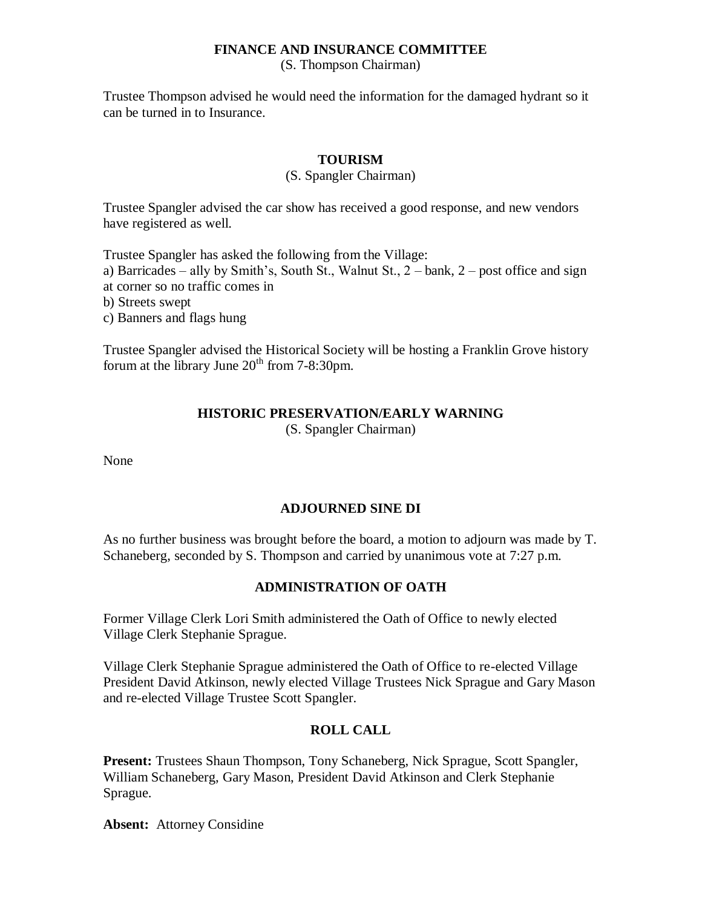### **FINANCE AND INSURANCE COMMITTEE**

(S. Thompson Chairman)

Trustee Thompson advised he would need the information for the damaged hydrant so it can be turned in to Insurance.

## **TOURISM**

#### (S. Spangler Chairman)

Trustee Spangler advised the car show has received a good response, and new vendors have registered as well.

Trustee Spangler has asked the following from the Village:

a) Barricades – ally by Smith's, South St., Walnut St., 2 – bank, 2 – post office and sign

at corner so no traffic comes in

b) Streets swept

c) Banners and flags hung

Trustee Spangler advised the Historical Society will be hosting a Franklin Grove history forum at the library June  $20<sup>th</sup>$  from 7-8:30pm.

# **HISTORIC PRESERVATION/EARLY WARNING**

(S. Spangler Chairman)

None

# **ADJOURNED SINE DI**

As no further business was brought before the board, a motion to adjourn was made by T. Schaneberg, seconded by S. Thompson and carried by unanimous vote at 7:27 p.m.

## **ADMINISTRATION OF OATH**

Former Village Clerk Lori Smith administered the Oath of Office to newly elected Village Clerk Stephanie Sprague.

Village Clerk Stephanie Sprague administered the Oath of Office to re-elected Village President David Atkinson, newly elected Village Trustees Nick Sprague and Gary Mason and re-elected Village Trustee Scott Spangler.

## **ROLL CALL**

Present: Trustees Shaun Thompson, Tony Schaneberg, Nick Sprague, Scott Spangler, William Schaneberg, Gary Mason, President David Atkinson and Clerk Stephanie Sprague.

**Absent:** Attorney Considine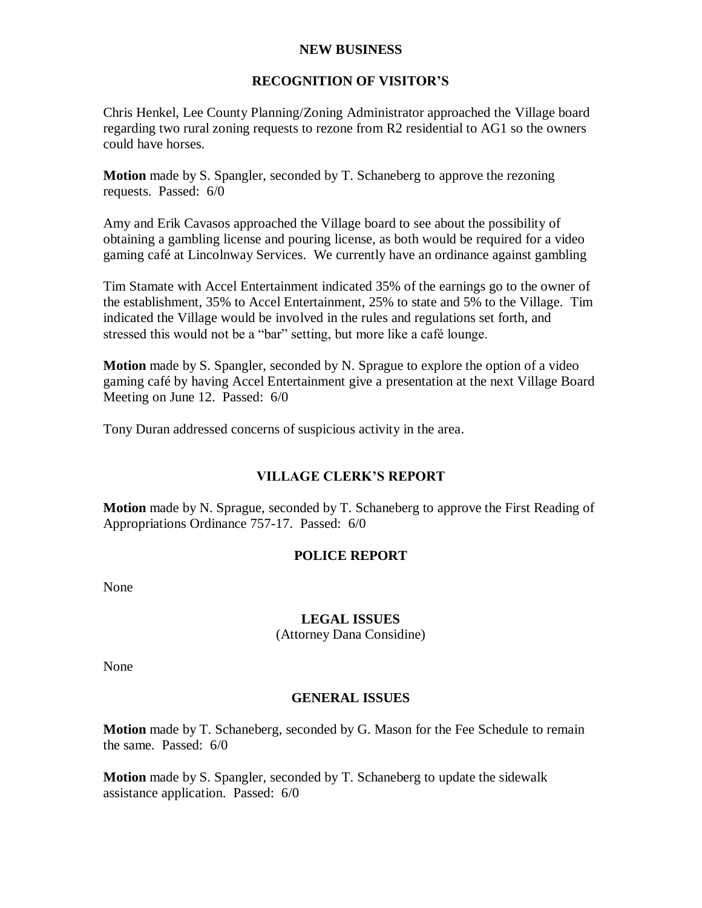### **NEW BUSINESS**

## **RECOGNITION OF VISITOR'S**

Chris Henkel, Lee County Planning/Zoning Administrator approached the Village board regarding two rural zoning requests to rezone from R2 residential to AG1 so the owners could have horses.

**Motion** made by S. Spangler, seconded by T. Schaneberg to approve the rezoning requests. Passed: 6/0

Amy and Erik Cavasos approached the Village board to see about the possibility of obtaining a gambling license and pouring license, as both would be required for a video gaming café at Lincolnway Services. We currently have an ordinance against gambling

Tim Stamate with Accel Entertainment indicated 35% of the earnings go to the owner of the establishment, 35% to Accel Entertainment, 25% to state and 5% to the Village. Tim indicated the Village would be involved in the rules and regulations set forth, and stressed this would not be a "bar" setting, but more like a café lounge.

**Motion** made by S. Spangler, seconded by N. Sprague to explore the option of a video gaming café by having Accel Entertainment give a presentation at the next Village Board Meeting on June 12. Passed: 6/0

Tony Duran addressed concerns of suspicious activity in the area.

# **VILLAGE CLERK'S REPORT**

**Motion** made by N. Sprague, seconded by T. Schaneberg to approve the First Reading of Appropriations Ordinance 757-17. Passed: 6/0

# **POLICE REPORT**

None

## **LEGAL ISSUES**

(Attorney Dana Considine)

None

## **GENERAL ISSUES**

**Motion** made by T. Schaneberg, seconded by G. Mason for the Fee Schedule to remain the same. Passed: 6/0

**Motion** made by S. Spangler, seconded by T. Schaneberg to update the sidewalk assistance application. Passed: 6/0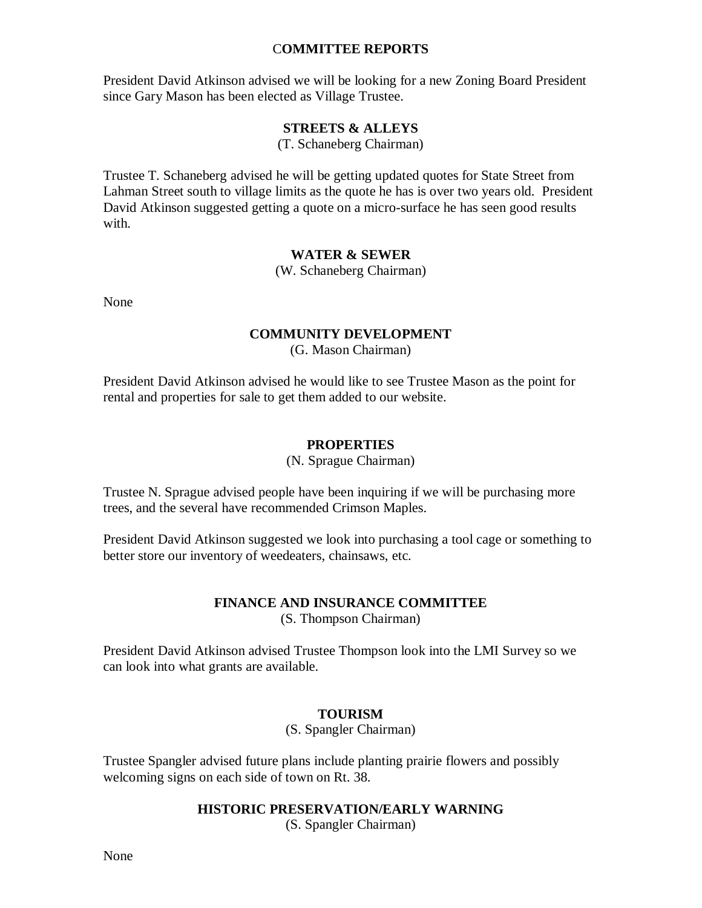### C**OMMITTEE REPORTS**

President David Atkinson advised we will be looking for a new Zoning Board President since Gary Mason has been elected as Village Trustee.

## **STREETS & ALLEYS**

(T. Schaneberg Chairman)

Trustee T. Schaneberg advised he will be getting updated quotes for State Street from Lahman Street south to village limits as the quote he has is over two years old. President David Atkinson suggested getting a quote on a micro-surface he has seen good results with.

### **WATER & SEWER**

(W. Schaneberg Chairman)

None

## **COMMUNITY DEVELOPMENT**

(G. Mason Chairman)

President David Atkinson advised he would like to see Trustee Mason as the point for rental and properties for sale to get them added to our website.

### **PROPERTIES**

(N. Sprague Chairman)

Trustee N. Sprague advised people have been inquiring if we will be purchasing more trees, and the several have recommended Crimson Maples.

President David Atkinson suggested we look into purchasing a tool cage or something to better store our inventory of weedeaters, chainsaws, etc.

#### **FINANCE AND INSURANCE COMMITTEE** (S. Thompson Chairman)

President David Atkinson advised Trustee Thompson look into the LMI Survey so we can look into what grants are available.

## **TOURISM**

(S. Spangler Chairman)

Trustee Spangler advised future plans include planting prairie flowers and possibly welcoming signs on each side of town on Rt. 38.

## **HISTORIC PRESERVATION/EARLY WARNING**

(S. Spangler Chairman)

None